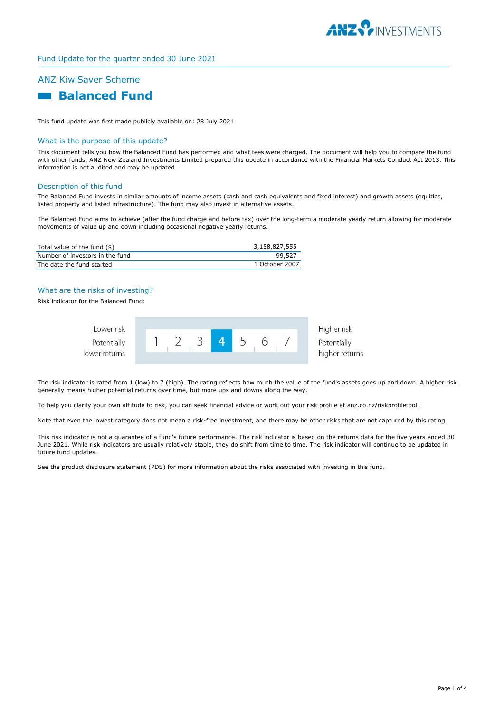

# ANZ KiwiSaver Scheme



This fund update was first made publicly available on: 28 July 2021

# What is the purpose of this update?

This document tells you how the Balanced Fund has performed and what fees were charged. The document will help you to compare the fund with other funds. ANZ New Zealand Investments Limited prepared this update in accordance with the Financial Markets Conduct Act 2013. This information is not audited and may be updated.

#### Description of this fund

The Balanced Fund invests in similar amounts of income assets (cash and cash equivalents and fixed interest) and growth assets (equities, listed property and listed infrastructure). The fund may also invest in alternative assets.

The Balanced Fund aims to achieve (after the fund charge and before tax) over the long-term a moderate yearly return allowing for moderate movements of value up and down including occasional negative yearly returns.

| Total value of the fund (\$)    | 3.158.827.555  |
|---------------------------------|----------------|
| Number of investors in the fund | 99,527         |
| The date the fund started       | 1 October 2007 |

# What are the risks of investing?

Risk indicator for the Balanced Fund:

| Lower risk                   |  |  |  | Higher risk                   |
|------------------------------|--|--|--|-------------------------------|
| Potentially<br>lower returns |  |  |  | Potentially<br>higher returns |
|                              |  |  |  |                               |

The risk indicator is rated from 1 (low) to 7 (high). The rating reflects how much the value of the fund's assets goes up and down. A higher risk generally means higher potential returns over time, but more ups and downs along the way.

To help you clarify your own attitude to risk, you can seek financial advice or work out your risk profile at anz.co.nz/riskprofiletool.

Note that even the lowest category does not mean a risk-free investment, and there may be other risks that are not captured by this rating.

This risk indicator is not a guarantee of a fund's future performance. The risk indicator is based on the returns data for the five years ended 30 June 2021. While risk indicators are usually relatively stable, they do shift from time to time. The risk indicator will continue to be updated in future fund updates.

See the product disclosure statement (PDS) for more information about the risks associated with investing in this fund.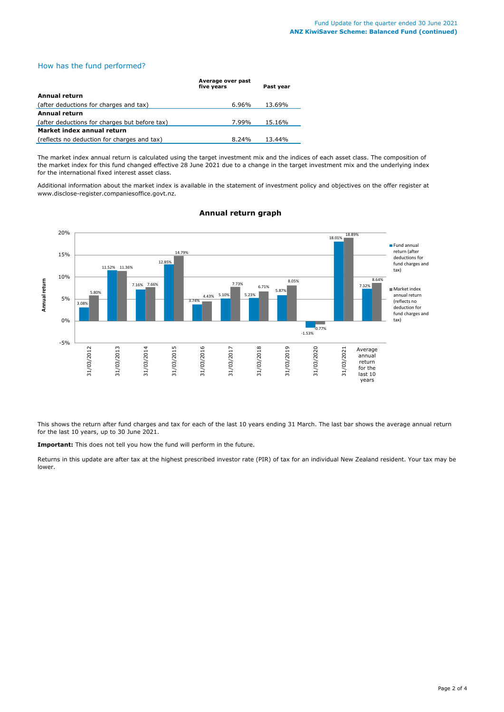# How has the fund performed?

|                                               | Average over past<br>five vears | Past vear |
|-----------------------------------------------|---------------------------------|-----------|
| <b>Annual return</b>                          |                                 |           |
| (after deductions for charges and tax)        | $6.96\%$                        | 13.69%    |
| Annual return                                 |                                 |           |
| (after deductions for charges but before tax) | 7.99%                           | 15.16%    |
| Market index annual return                    |                                 |           |
| (reflects no deduction for charges and tax)   | 8.24%                           | 13.44%    |

The market index annual return is calculated using the target investment mix and the indices of each asset class. The composition of the market index for this fund changed effective 28 June 2021 due to a change in the target investment mix and the underlying index for the international fixed interest asset class.

Additional information about the market index is available in the statement of investment policy and objectives on the offer register at www.disclose-register.companiesoffice.govt.nz.



# **Annual return graph**

This shows the return after fund charges and tax for each of the last 10 years ending 31 March. The last bar shows the average annual return for the last 10 years, up to 30 June 2021.

**Important:** This does not tell you how the fund will perform in the future.

Returns in this update are after tax at the highest prescribed investor rate (PIR) of tax for an individual New Zealand resident. Your tax may be lower.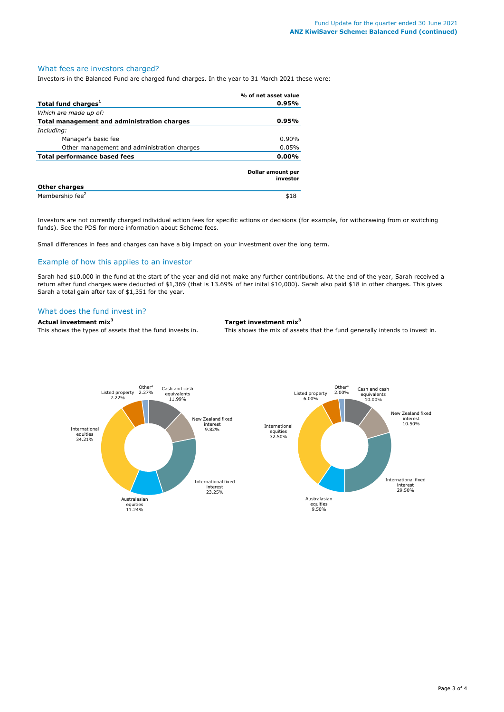### What fees are investors charged?

Investors in the Balanced Fund are charged fund charges. In the year to 31 March 2021 these were:

|                                             | % of net asset value          |
|---------------------------------------------|-------------------------------|
| Total fund charges <sup>1</sup>             | 0.95%                         |
| Which are made up of:                       |                               |
| Total management and administration charges | 0.95%                         |
| Including:                                  |                               |
| Manager's basic fee                         | $0.90\%$                      |
| Other management and administration charges | 0.05%                         |
| <b>Total performance based fees</b>         | $0.00\%$                      |
|                                             | Dollar amount per<br>investor |
| <b>Other charges</b>                        |                               |
| Membership fee <sup>2</sup>                 | \$18                          |

Investors are not currently charged individual action fees for specific actions or decisions (for example, for withdrawing from or switching funds). See the PDS for more information about Scheme fees.

Small differences in fees and charges can have a big impact on your investment over the long term.

# Example of how this applies to an investor

Sarah had \$10,000 in the fund at the start of the year and did not make any further contributions. At the end of the year, Sarah received a return after fund charges were deducted of \$1,369 (that is 13.69% of her inital \$10,000). Sarah also paid \$18 in other charges. This gives Sarah a total gain after tax of \$1,351 for the year.

#### What does the fund invest in?

**Actual investment mix<sup>3</sup> Target investment mix<sup>3</sup>**

This shows the types of assets that the fund invests in. This shows the mix of assets that the fund generally intends to invest in.